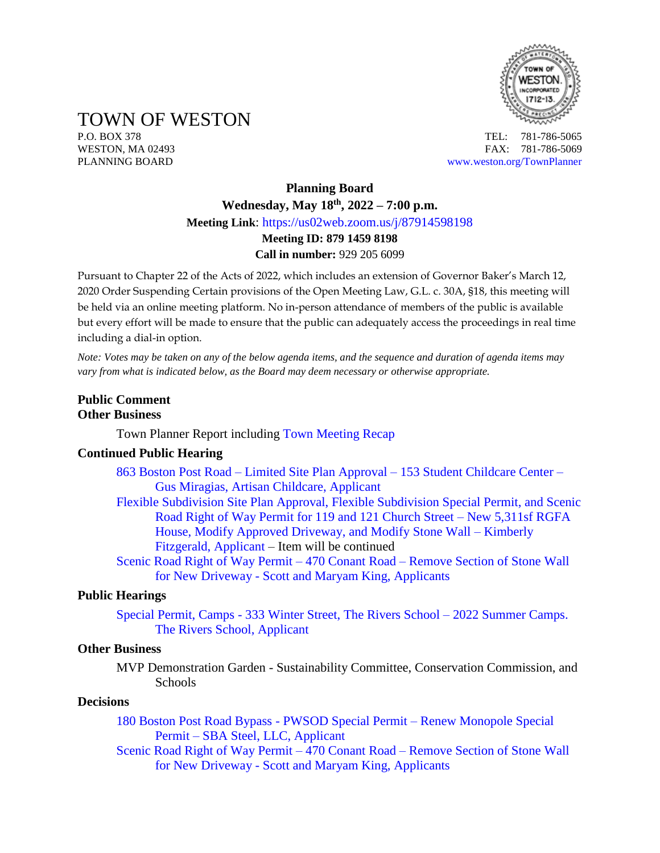

TOWN OF WESTON

P.O. BOX 378 TEL: 781-786-5065 WESTON, MA 02493 **FAX: 781-786-5069** PLANNING BOARD [www.weston.org/TownPlanner](http://www.weston.org/TownPlanner)

# **Planning Board Wednesday, May 18th , 2022 – 7:00 p.m. Meeting Link**: <https://us02web.zoom.us/j/87914598198> **Meeting ID: 879 1459 8198 Call in number:** 929 205 6099

Pursuant to Chapter 22 of the Acts of 2022, which includes an extension of Governor Baker's March 12, 2020 Order Suspending Certain provisions of the Open Meeting Law, G.L. c. 30A, §18, this meeting will be held via an online meeting platform. No in-person attendance of members of the public is available but every effort will be made to ensure that the public can adequately access the proceedings in real time including a dial-in option.

*Note: Votes may be taken on any of the below agenda items, and the sequence and duration of agenda items may vary from what is indicated below, as the Board may deem necessary or otherwise appropriate.*

# **Public Comment Other Business**

Town Planner Report including [Town Meeting Recap](https://www.westonma.gov/1770/2022-Annual-Town-Meeting)

# **Continued Public Hearing**

- 863 Boston Post Road Limited Site Plan Approval [153 Student Childcare Center –](https://www.westonma.gov/DocumentCenter/Index/4598) [Gus Miragias, Artisan Childcare, Applicant](https://www.westonma.gov/DocumentCenter/Index/4598)
- [Flexible Subdivision Site Plan Approval, Flexible Subdivision Special Permit, and Scenic](https://www.westonma.gov/DocumentCenter/Index/4640)  [Road Right of Way Permit for 119 and 121 Church Street –](https://www.westonma.gov/DocumentCenter/Index/4640) New 5,311sf RGFA [House, Modify Approved Driveway, and Modify Stone Wall –](https://www.westonma.gov/DocumentCenter/Index/4640) Kimberly [Fitzgerald, Applicant](https://www.westonma.gov/DocumentCenter/Index/4640) – Item will be continued
- [Scenic Road Right of Way Permit –](https://www.westonma.gov/DocumentCenter/Index/4638) 470 Conant Road Remove Section of Stone Wall for New Driveway - [Scott and Maryam King, Applicants](https://www.westonma.gov/DocumentCenter/Index/4638)

# **Public Hearings**

Special Permit, Camps - [333 Winter Street, The Rivers School –](https://www.westonma.gov/DocumentCenter/Index/4693) 2022 Summer Camps. [The Rivers School, Applicant](https://www.westonma.gov/DocumentCenter/Index/4693)

#### **Other Business**

MVP Demonstration Garden - Sustainability Committee, Conservation Commission, and **Schools** 

#### **Decisions**

[180 Boston Post Road Bypass -](https://www.westonma.gov/DocumentCenter/Index/4691) PWSOD Special Permit – Renew Monopole Special Permit – [SBA Steel, LLC, Applicant](https://www.westonma.gov/DocumentCenter/Index/4691)

[Scenic Road Right of Way Permit –](https://www.westonma.gov/DocumentCenter/Index/4638) 470 Conant Road – Remove Section of Stone Wall for New Driveway - [Scott and Maryam King, Applicants](https://www.westonma.gov/DocumentCenter/Index/4638)